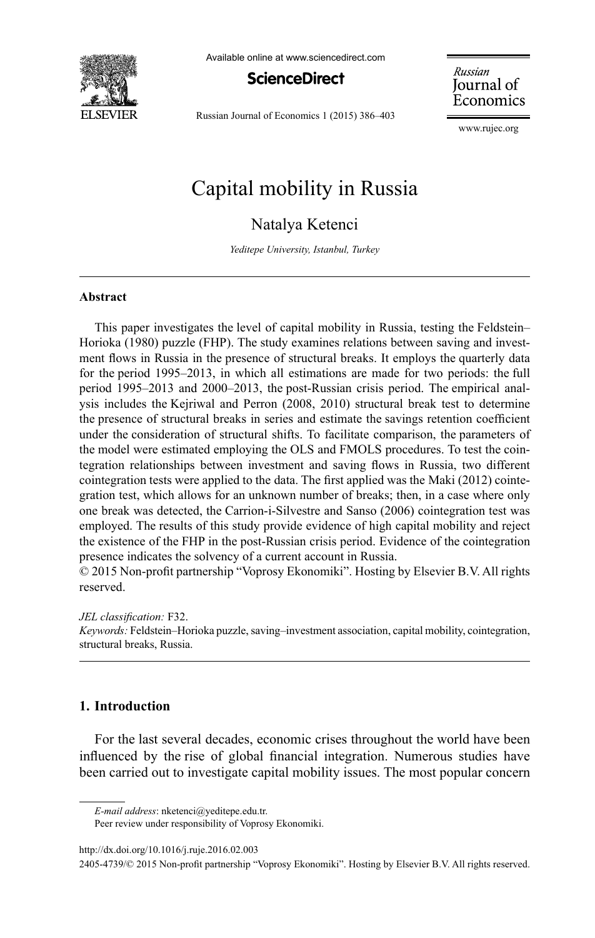

Available online at www.sciencedirect.com



Russian Journal of Economics 1 (2015) 386–403

Russian Journal of Economics

[www.rujec.org](http://www.rujec.org)

# Capital mobility in Russia

Natalya Ketenci

*Yeditepe University, Istanbul, Turkey*

#### **Abstract**

This paper investigates the level of capital mobility in Russia, testing the Feldstein– Horioka (1980) puzzle (FHP). The study examines relations between saving and investment flows in Russia in the presence of structural breaks. It employs the quarterly data for the period 1995–2013, in which all estimations are made for two periods: the full period 1995–2013 and 2000–2013, the post-Russian crisis period. The empirical analysis includes the Kejriwal and Perron (2008, 2010) structural break test to determine the presence of structural breaks in series and estimate the savings retention coefficient under the consideration of structural shifts. To facilitate comparison, the parameters of the model were estimated employing the OLS and FMOLS procedures. To test the cointegration relationships between investment and saving flows in Russia, two different cointegration tests were applied to the data. The first applied was the Maki (2012) cointegration test, which allows for an unknown number of breaks; then, in a case where only one break was detected, the Carrion-i-Silvestre and Sanso (2006) cointegrationtest was employed. The results of this study provide evidence of high capital mobility and reject the existence of the FHP in the post-Russian crisis period. Evidence of the cointegration presence indicates the solvency of a current account in Russia.

 $© 2015$  Non-profit partnership "Voprosy Ekonomiki". Hosting by Elsevier B.V. All rights reserved.

*JEL classification:* F32.

*Keywords:* Feldstein–Horioka puzzle, saving–investment association, capital mobility, cointegration, structural breaks, Russia.

## **1. Introduction**

For the last several decades, economic crises throughout the world have been influenced by the rise of global financial integration. Numerous studies have been carried out to investigate capital mobility issues. The most popular concern

Peer review under responsibility of Voprosy Ekonomiki.

<http://dx.doi.org/10.1016/j.ruje.2016.02.003>

*E-mail address*: [nketenci@yeditepe.edu.tr.](mailto:nketenci@yeditepe.edu.tr) 

<sup>2405-4739/© 2015</sup> Non-profit partnership "Voprosy Ekonomiki". Hosting by Elsevier B.V. All rights reserved.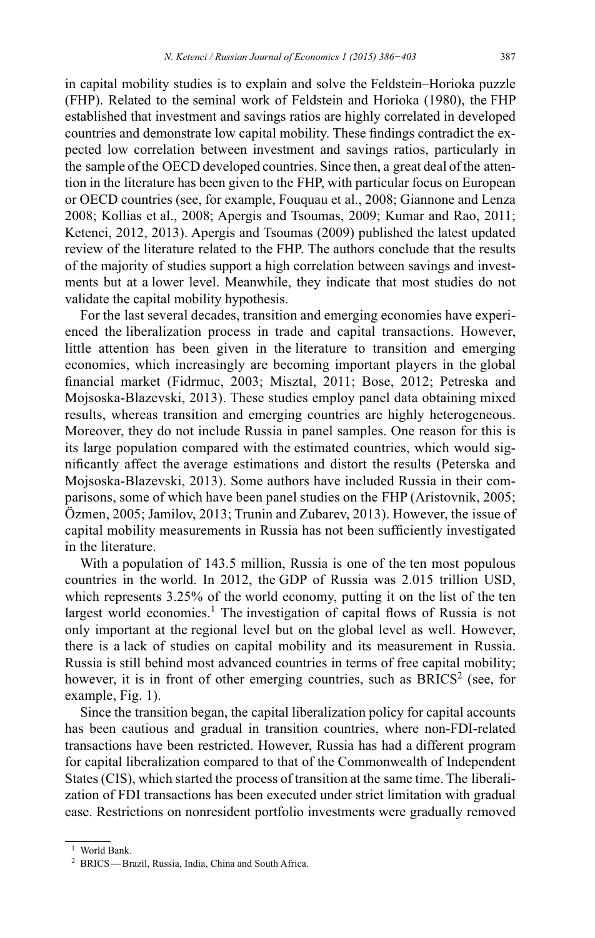in capital mobility studies is to explain and solve the Feldstein–Horioka puzzle (FHP). Related to the seminal work of Feldstein and Horioka (1980), the FHP established that investment and savings ratios are highly correlated in developed countries and demonstrate low capital mobility. These findings contradict the expected low correlation between investment and savings ratios, particularly in the sample of the OECD developed countries. Since then, a great deal of the attention in the literature has been given to the FHP, with particular focus on European or OECD countries (see, for example, Fouquau et al., 2008; Giannone and Lenza 2008; Kollias et al., 2008; Apergis and Tsoumas, 2009; Kumar and Rao, 2011; Ketenci, 2012, 2013). Apergis and Tsoumas (2009) published the latest updated review of the literature related to the FHP. The authors conclude that the results of the majority of studies support a high correlation between savings and investments but at a lower level. Meanwhile, they indicate that most studies do not validate the capital mobility hypothesis.

For the last several decades, transition and emerging economies have experienced the liberalization process in trade and capital transactions. However, little attention has been given in the literature to transition and emerging economies, which increasingly are becoming important players in the global financial market (Fidrmuc, 2003; Misztal, 2011; Bose, 2012; Petreska and Mojsoska-Blazevski, 2013). These studies employ panel data obtaining mixed results, whereas transition and emerging countries are highly heterogeneous. Moreover, they do not include Russia in panel samples. One reason for this is its large population compared with the estimated countries, which would significantly affect the average estimations and distort the results (Peterska and Mojsoska-Blazevski, 2013). Some authors have included Russia in their comparisons, some of which have been panel studies on the FHP (Aristovnik, 2005; Özmen, 2005; Jamilov, 2013; Trunin and Zubarev, 2013). However, the issue of capital mobility measurements in Russia has not been sufficiently investigated in the literature.

With a population of 143.5 million, Russia is one of the ten most populous countries in the world. In 2012, the GDP of Russia was 2.015 trillion USD, which represents 3.25% of the world economy, putting it on the list of the ten largest world economies.<sup>1</sup> The investigation of capital flows of Russia is not only important at the regional level but on the global level as well. However, there is a lack of studies on capital mobility and its measurement in Russia. Russia is still behind most advanced countries in terms of free capital mobility; however, it is in front of other emerging countries, such as  $BRICS<sup>2</sup>$  (see, for example, Fig. 1).

Since the transition began, the capital liberalization policy for capital accounts has been cautious and gradual in transition countries, where non-FDI-related transactions have been restricted. However, Russia has had a different program for capital liberalization compared to that of the Commonwealth of Independent States (CIS), which started the process of transition at the same time. The liberalization of FDI transactions has been executed under strict limitation with gradual ease. Restrictions on nonresident portfolio investments were gradually removed

<sup>&</sup>lt;sup>1</sup> World Bank.

<sup>&</sup>lt;sup>2</sup> BRICS—Brazil, Russia, India, China and South Africa.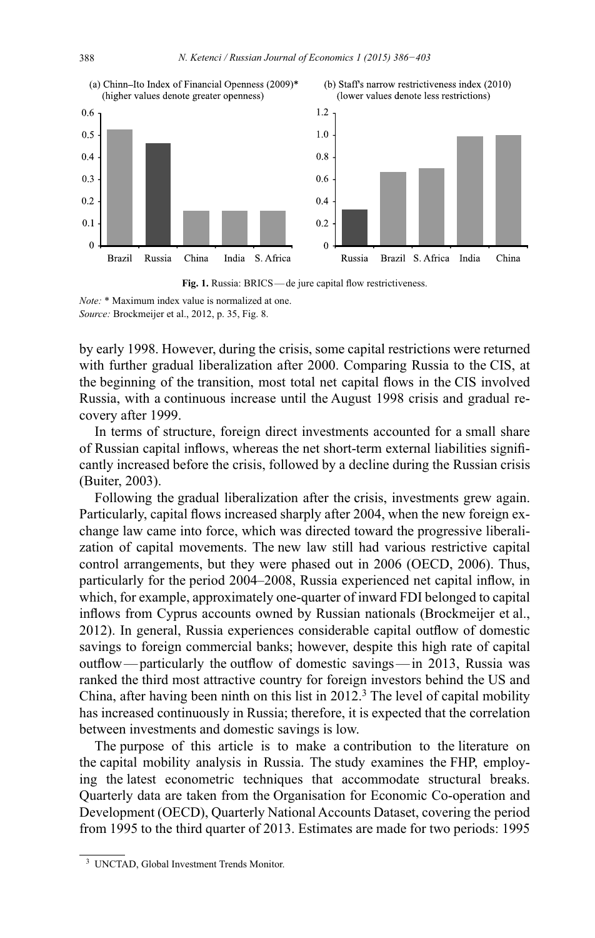



Note: \* Maximum index value is normalized at one. Source: Brockmeijer et al., 2012, p. 35, Fig. 8.

by early 1998. However, during the crisis, some capital restrictions were returned with further gradual liberalization after 2000. Comparing Russia to the CIS, at the beginning of the transition, most total net capital flows in the CIS involved Russia, with a continuous increase until the August 1998 crisis and gradual recovery after 1999.

In terms of structure, foreign direct investments accounted for a small share of Russian capital inflows, whereas the net short-term external liabilities significantly increased before the crisis, followed by a decline during the Russian crisis (Buiter, 2003).

Following the gradual liberalization after the crisis, investments grew again. Particularly, capital flows increased sharply after 2004, when the new foreign exchange law came into force, which was directed toward the progressive liberalization of capital movements. The new law still had various restrictive capital control arrangements, but they were phased out in 2006 (OECD, 2006). Thus, particularly for the period 2004–2008, Russia experienced net capital inflow, in which, for example, approximately one-quarter of inward FDI belonged to capital inflows from Cyprus accounts owned by Russian nationals (Brockmeijer et al., 2012). In general, Russia experiences considerable capital outflow of domestic savings to foreign commercial banks; however, despite this high rate of capital outflow—particularly the outflow of domestic savings—in 2013, Russia was ranked the third most attractive country for foreign investors behind the US and China, after having been ninth on this list in  $2012<sup>3</sup>$ . The level of capital mobility has increased continuously in Russia; therefore, it is expected that the correlation between investments and domestic savings is low.

The purpose of this article is to make a contribution to the literature on the capital mobility analysis in Russia. The study examines the FHP, employing the latest econometric techniques that accommodate structural breaks. Quarterly data are taken from the Organisation for Economic Co-operation and Development (OECD), Quarterly National Accounts Dataset, covering the period from 1995 to the third quarter of 2013. Estimates are made for two periods: 1995

<sup>&</sup>lt;sup>3</sup> UNCTAD, Global Investment Trends Monitor.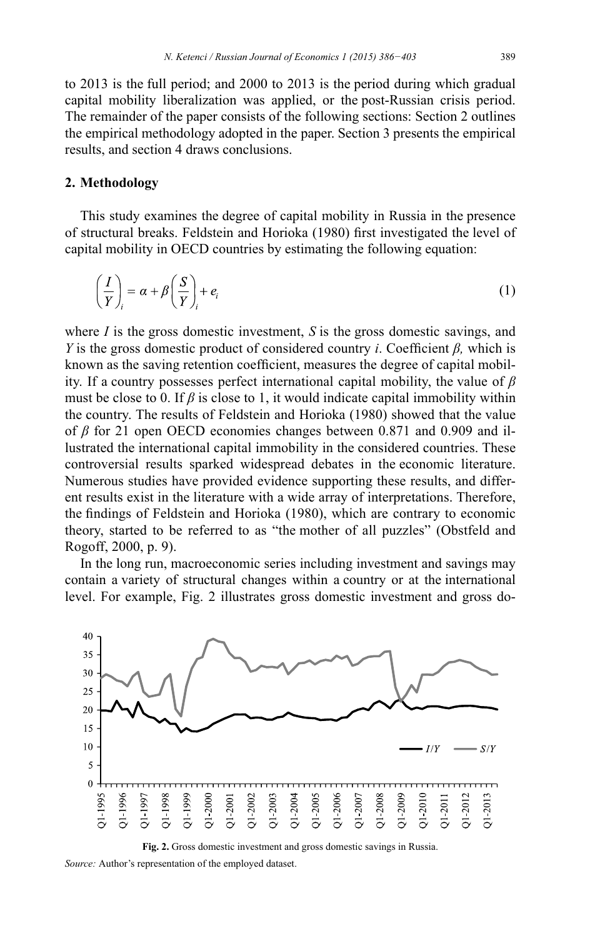to 2013 is the full period; and 2000 to 2013 is the period during which gradual capital mobility liberalization was applied, or the post-Russian crisis period. The remainder of the paper consists of the following sections: Section 2 outlines the empirical methodology adopted in the paper. Section 3 presents the empirical results, and section 4 draws conclusions.

## **2. Methodology**

This study examines the degree of capital mobility in Russia in the presence of structural breaks. Feldstein and Horioka (1980) first investigated the level of capital mobility in OECD countries by estimating the following equation:

$$
\left(\frac{I}{Y}\right)_i = \alpha + \beta \left(\frac{S}{Y}\right)_i + e_i \tag{1}
$$

where *I* is the gross domestic investment, *S* is the gross domestic savings, and *Y* is the gross domestic product of considered country *i*. Coefficient  $\beta$ , which is known as the saving retention coefficient, measures the degree of capital mobility. If a country possesses perfect international capital mobility, the value of  $\beta$ must be close to 0. If  $\beta$  is close to 1, it would indicate capital immobility within the country. The results of Feldstein and Horioka (1980) showed that the value of  $\beta$  for 21 open OECD economies changes between 0.871 and 0.909 and illustrated the international capital immobility in the considered countries. These controversial results sparked widespread debates in the economic literature. Numerous studies have provided evidence supporting these results, and different results exist in the literature with a wide array of interpretations. Therefore, the findings of Feldstein and Horioka (1980), which are contrary to economic theory, started to be referred to as "the mother of all puzzles" (Obstfeld and Rogoff, 2000, p. 9).

In the long run, macroeconomic series including investment and savings may contain a variety of structural changes within a country or at the international level. For example, Fig. 2 illustrates gross domestic investment and gross do-





*Source:* Author's representation of the employed dataset.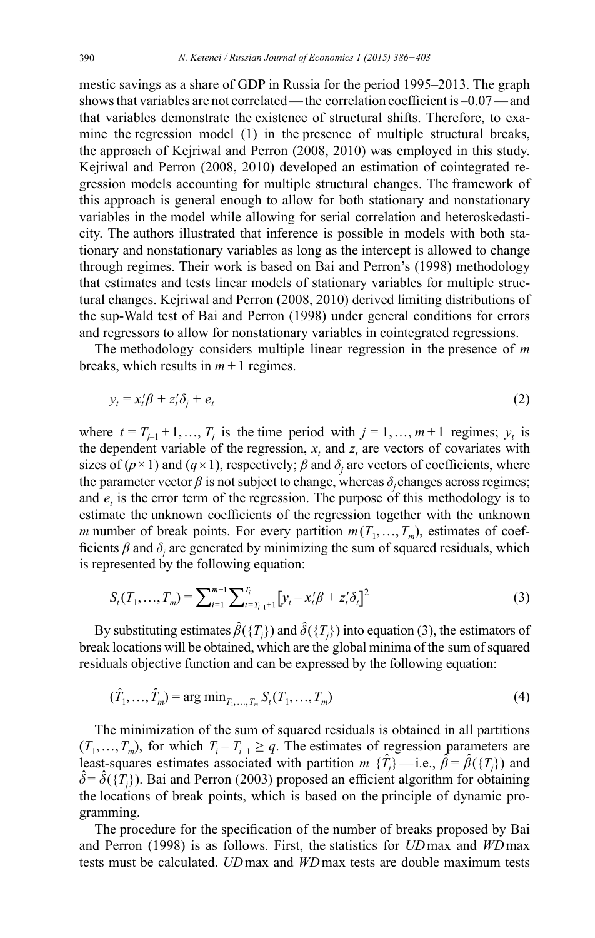mestic savings as a share of GDP in Russia for the period 1995–2013. The graph shows that variables are not correlated—the correlation coefficient is  $-0.07$ —and that variables demonstrate the existence of structural shifts. Therefore, to examine the regression model (1) in the presence of multiple structural breaks, the approach of Kejriwal and Perron (2008, 2010) was employed in this study. Kejriwal and Perron (2008, 2010) developed an estimation of cointegrated regression models accounting for multiple structural changes. The framework of this approach is general enough to allow for both stationary and nonstationary variables in the model while allowing for serial correlation and heteroskedasticity. The authors illustrated that inference is possible in models with both stationary and nonstationary variables as long as the intercept is allowed to change through regimes. Their work is based on Bai and Perron's (1998) methodology that estimates and tests linear models of stationary variables for multiple structural changes. Kejriwal and Perron (2008, 2010) derived limiting distributions of the sup-Wald test of Bai and Perron (1998) under general conditions for errors and regressors to allow for nonstationary variables in cointegrated regressions.

The methodology considers multiple linear regression in the presence of  $m$ breaks, which results in  $m + 1$  regimes.

$$
y_t = x_t'\beta + z_t'\delta_i + e_t \tag{2}
$$

where  $t = T_{j-1} + 1, ..., T_j$  is the time period with  $j = 1, ..., m+1$  regimes;  $y_t$  is the dependent variable of the regression,  $x_t$  and  $z_t$  are vectors of covariates with sizes of  $(p \times 1)$  and  $(q \times 1)$ , respectively;  $\beta$  and  $\delta_i$  are vectors of coefficients, where the parameter vector  $\beta$  is not subject to change, whereas  $\delta_i$  changes across regimes; and  $e_i$ , is the error term of the regression. The purpose of this methodology is to estimate the unknown coefficients of the regression together with the unknown *m* number of break points. For every partition  $m(T_1, ..., T_m)$ , estimates of coefficients  $\beta$  and  $\delta_i$  are generated by minimizing the sum of squared residuals, which is represented by the following equation:

$$
S_t(T_1, ..., T_m) = \sum_{i=1}^{m+1} \sum_{t=T_{i-1}+1}^{T_i} \left[ y_t - x_t' \beta + z_t' \delta_t \right]^2
$$
 (3)

By substituting estimates  $\hat{\beta}(\{T_i\})$  and  $\hat{\delta}(\{T_i\})$  into equation (3), the estimators of break locations will be obtained, which are the global minima of the sum of squared residuals objective function and can be expressed by the following equation:

$$
(\hat{T}_1, ..., \hat{T}_m) = \arg\min_{T_1, ..., T_m} S_t(T_1, ..., T_m)
$$
\n(4)

The minimization of the sum of squared residuals is obtained in all partitions  $(T_1, ..., T_m)$ , for which  $T_i - T_{i-1} \geq q$ . The estimates of regression parameters are least-squares estimates associated with partition  $m \{\hat{T}_i\}$  -i.e.,  $\hat{\beta} = \hat{\beta}(\{T_i\})$  and  $\hat{\delta} = \hat{\delta}(\{T_i\})$ . Bai and Perron (2003) proposed an efficient algorithm for obtaining the locations of break points, which is based on the principle of dynamic programming.

The procedure for the specification of the number of breaks proposed by Bai and Perron (1998) is as follows. First, the statistics for UD max and WD max tests must be calculated. *UD* max and *WD* max tests are double maximum tests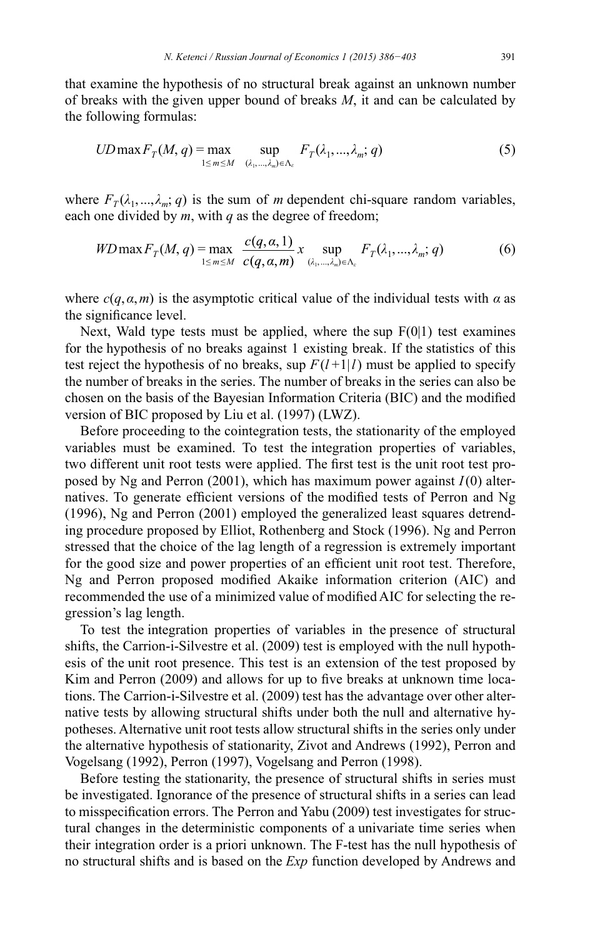that examine the hypothesis of no structural break against an unknown number of breaks with the given upper bound of breaks *M*, it and can be calculated by the following formulas:

$$
UD\max F_T(M, q) = \max_{1 \le m \le M} \sup_{(\lambda_1, \dots, \lambda_m) \in \Lambda_{\varepsilon}} F_T(\lambda_1, \dots, \lambda_m; q)
$$
(5)

where  $F_T(\lambda_1, \ldots, \lambda_m; q)$  is the sum of *m* dependent chi-square random variables, each one divided by *m*, with *q* as the degree of freedom;

$$
WD \max F_T(M, q) = \max_{1 \le m \le M} \frac{c(q, \alpha, 1)}{c(q, \alpha, m)} x \sup_{(\lambda_1, ..., \lambda_m) \in \Lambda_{\varepsilon}} F_T(\lambda_1, ..., \lambda_m; q) \tag{6}
$$

where  $c(q, \alpha, m)$  is the asymptotic critical value of the individual tests with  $\alpha$  as the significance level.

Next, Wald type tests must be applied, where the sup  $F(0|1)$  test examines for the hypothesis of no breaks against 1 existing break. If the statistics of this test reject the hypothesis of no breaks, sup  $F(l+1|l)$  must be applied to specify the number of breaks in the series. The number of breaks in the series can also be chosen on the basis of the Bayesian Information Criteria (BIC) and the modified version of BIC proposed by Liu et al.  $(1997)$  (LWZ).

Before proceeding to the cointegration tests, the stationarity of the employed variables must be examined. To test the integration properties of variables, two different unit root tests were applied. The first test is the unit root test proposed by Ng and Perron (2001), which has maximum power against *I* (0) alternatives. To generate efficient versions of the modified tests of Perron and Ng  $(1996)$ , Ng and Perron  $(2001)$  employed the generalized least squares detrending procedure proposed by Elliot, Rothenberg and Stock (1996). Ng and Perron stressed that the choice of the lag length of a regression is extremely important for the good size and power properties of an efficient unit root test. Therefore, Ng and Perron proposed modified Akaike information criterion (AIC) and recommended the use of a minimized value of modified AIC for selecting the regression's lag length.

To test the integration properties of variables in the presence of structural shifts, the Carrion-i-Silvestre et al. (2009) test is employed with the null hypothesis of the unit root presence. This test is an extension of the test proposed by Kim and Perron (2009) and allows for up to five breaks at unknown time locations. The Carrion-i-Silvestre et al. (2009) test has the advantage over other alternative tests by allowing structural shifts under both the null and alternative hypotheses. Alternative unit root tests allow structural shifts in the series only under the alternative hypothesis of stationarity, Zivot and Andrews (1992), Perron and Vogelsang (1992), Perron (1997), Vogelsang and Perron (1998).

Before testing the stationarity, the presence of structural shifts in series must be investigated. Ignorance of the presence of structural shifts in a series can lead to misspecification errors. The Perron and Yabu (2009) test investigates for structural changes in the deterministic components of a univariate time series when their integration order is a priori unknown. The F-test has the null hypothesis of no structural shifts and is based on the *Exp* function developed by Andrews and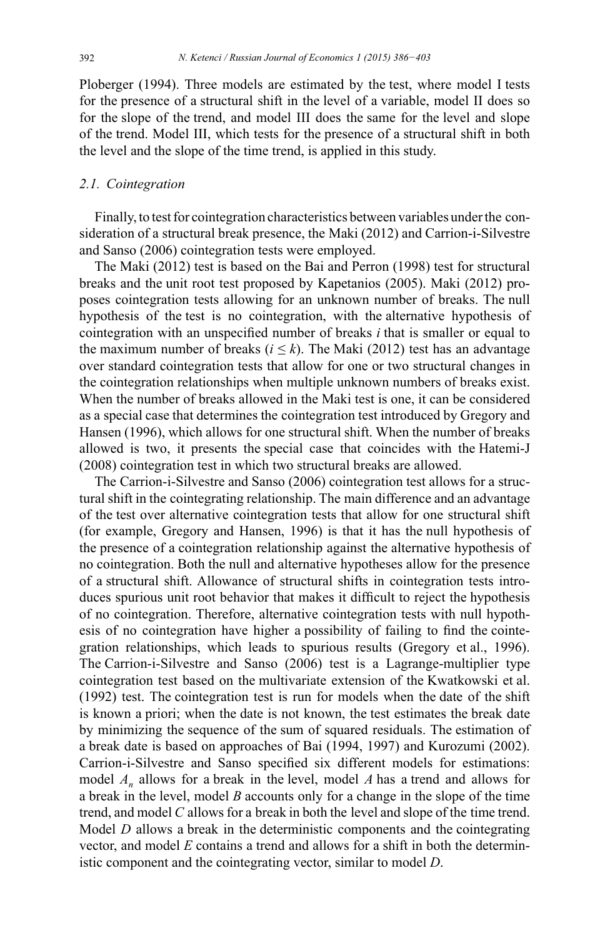Ploberger (1994). Three models are estimated by the test, where model I tests for the presence of a structural shift in the level of a variable, model II does so for the slope of the trend, and model III does the same for the level and slope of the trend. Model III, which tests for the presence of a structural shift in both the level and the slope of the time trend, is applied in this study.

### 2.1. Cointegration

Finally, to test for cointegration characteristics between variables under the consideration of a structural break presence, the Maki (2012) and Carrion-i-Silvestre and Sanso (2006) cointegration tests were employed.

The Maki (2012) test is based on the Bai and Perron (1998) test for structural breaks and the unit root test proposed by Kapetanios (2005). Maki (2012) proposes cointegration tests allowing for an unknown number of breaks. The null hypothesis of the test is no cointegration, with the alternative hypothesis of cointegration with an unspecified number of breaks  $i$  that is smaller or equal to the maximum number of breaks ( $i \leq k$ ). The Maki (2012) test has an advantage over standard cointegration tests that allow for one or two structural changes in the cointegration relationships when multiple unknown numbers of breaks exist. When the number of breaks allowed in the Maki test is one, it can be considered as a special case that determines the cointegration test introduced by Gregory and Hansen (1996), which allows for one structural shift. When the number of breaks allowed is two, it presents the special case that coincides with the Hatemi-J (2008) cointegration test in which two structural breaks are allowed.

The Carrion-i-Silvestre and Sanso (2006) cointegration test allows for a structural shift in the cointegrating relationship. The main difference and an advantage of the test over alternative cointegration tests that allow for one structural shift (for example, Gregory and Hansen, 1996) is that it has the null hypothesis of the presence of a cointegration relationship against the alternative hypothesis of no cointegration. Both the null and alternative hypotheses allow for the presence of a structural shift. Allowance of structural shifts in cointegration tests introduces spurious unit root behavior that makes it difficult to reject the hypothesis of no cointegration. Therefore, alternative cointegration tests with null hypothesis of no cointegration have higher a possibility of failing to find the cointegration relationships, which leads to spurious results (Gregory et al., 1996). The Carrion-i-Silvestre and Sanso (2006) test is a Lagrange-multiplier type cointegration test based on the multivariate extension of the Kwatkowski et al. (1992) test. The cointegration test is run for models when the date of the shift is known a priori; when the date is not known, the test estimates the break date by minimizing the sequence of the sum of squared residuals. The estimation of a break date is based on approaches of Bai (1994, 1997) and Kurozumi (2002). Carrion-i-Silvestre and Sanso specified six different models for estimations: model  $A_n$  allows for a break in the level, model A has a trend and allows for a break in the level, model  $B$  accounts only for a change in the slope of the time trend, and model C allows for a break in both the level and slope of the time trend. Model  $D$  allows a break in the deterministic components and the cointegrating vector, and model  $E$  contains a trend and allows for a shift in both the deterministic component and the cointegrating vector, similar to model D.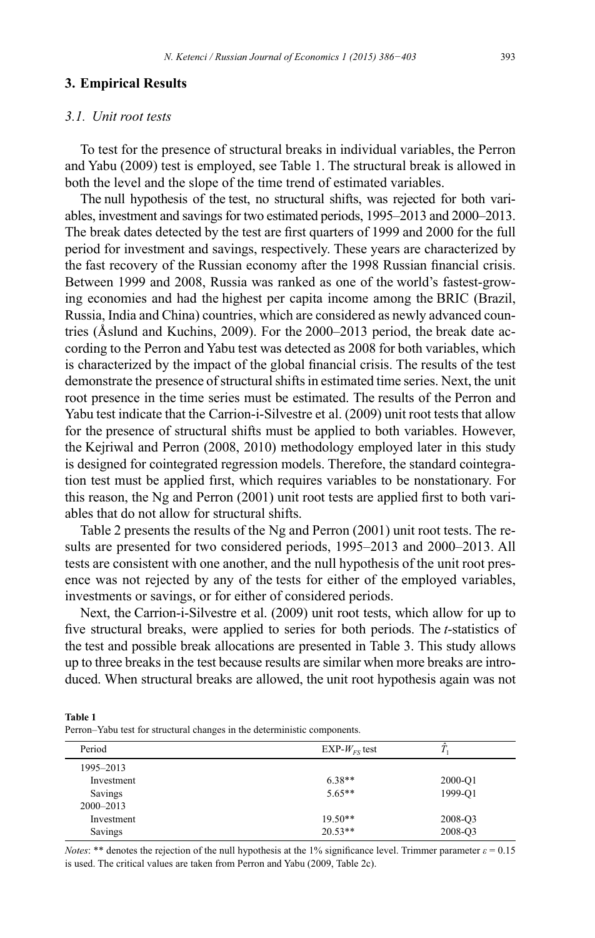#### **3. Empirical Results**

#### 3.1. Unit root tests

To test for the presence of structural breaks in individual variables, the Perron and Yabu (2009) test is employed, see Table 1. The structural break is allowed in both the level and the slope of the time trend of estimated variables.

The null hypothesis of the test, no structural shifts, was rejected for both variables, investment and savings for two estimated periods, 1995-2013 and 2000-2013. The break dates detected by the test are first quarters of 1999 and 2000 for the full period for investment and savings, respectively. These years are characterized by the fast recovery of the Russian economy after the 1998 Russian financial crisis. Between 1999 and 2008, Russia was ranked as one of the world's fastest-growing economies and had the highest per capita income among the BRIC (Brazil, Russia, India and China) countries, which are considered as newly advanced countries (Åslund and Kuchins, 2009). For the 2000–2013 period, the break date according to the Perron and Yabu test was detected as 2008 for both variables, which is characterized by the impact of the global financial crisis. The results of the test demonstrate the presence of structural shifts in estimated time series. Next, the unit root presence in the time series must be estimated. The results of the Perron and Yabu test indicate that the Carrion-i-Silvestre et al. (2009) unit root tests that allow for the presence of structural shifts must be applied to both variables. However, the Kejriwal and Perron (2008, 2010) methodology employed later in this study is designed for cointegrated regression models. Therefore, the standard cointegration test must be applied first, which requires variables to be nonstationary. For this reason, the Ng and Perron (2001) unit root tests are applied first to both variables that do not allow for structural shifts.

Table 2 presents the results of the Ng and Perron (2001) unit root tests. The results are presented for two considered periods, 1995–2013 and 2000–2013. All tests are consistent with one another, and the null hypothesis of the unit root presence was not rejected by any of the tests for either of the employed variables, investments or savings, or for either of considered periods.

Next, the Carrion-i-Silvestre et al. (2009) unit root tests, which allow for up to five structural breaks, were applied to series for both periods. The *t*-statistics of the test and possible break allocations are presented in Table 3. This study allows up to three breaks in the test because results are similar when more breaks are introduced. When structural breaks are allowed, the unit root hypothesis again was not

**Table 1** Perron-Yabu test for structural changes in the deterministic components.

| Period        | EXP- $W_{FS}$ test |         |
|---------------|--------------------|---------|
| 1995-2013     |                    |         |
| Investment    | $6.38**$           | 2000-O1 |
| Savings       | $5.65**$           | 1999-O1 |
| $2000 - 2013$ |                    |         |
| Investment    | $19.50**$          | 2008-Q3 |
| Savings       | $20.53**$          | 2008-O3 |
|               |                    |         |

*Notes*: \*\* denotes the rejection of the null hypothesis at the 1% significance level. Trimmer parameter  $\varepsilon = 0.15$ is used. The critical values are taken from Perron and Yabu (2009, Table 2c).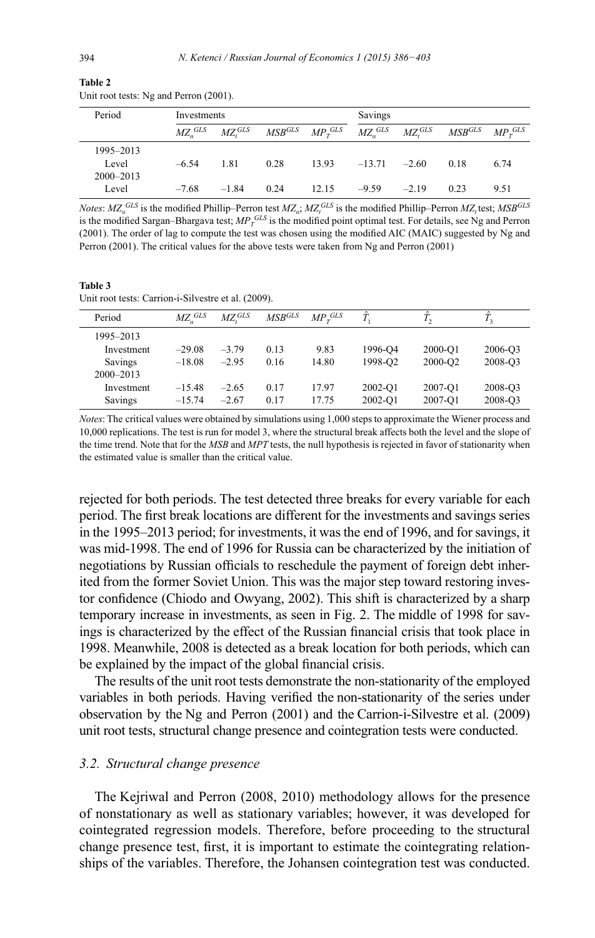| Period                              | Investments |                                  |                      | Savings        |           |                                  |             |              |
|-------------------------------------|-------------|----------------------------------|----------------------|----------------|-----------|----------------------------------|-------------|--------------|
|                                     | $MZa$ GLS   | $MZ$ <sup><math>GLS</math></sup> | $\mathit{MSB}^{GLS}$ | $MP_{x}^{GLS}$ | $MZa$ GLS | $MZ$ <sup><math>GLS</math></sup> | $MSB^{GLS}$ | $MP_{r}$ GLS |
| 1995-2013<br>Level<br>$2000 - 2013$ | $-6.54$     | 1.81                             | 0.28                 | 13.93          | $-13.71$  | $-2.60$                          | 0.18        | 6.74         |
| Level                               | $-7.68$     | $-1.84$                          | 0.24                 | 12.15          | $-9.59$   | $-2.19$                          | 0.23        | 9.51         |

**Table 2** Unit root tests: Ng and Perron (2001).

*Notes:*  $MZ_a^{GLS}$  is the modified Phillip–Perron test  $MZ_a$ ;  $MZ_t^{GLS}$  is the modified Phillip–Perron  $MZ_t$  test;  $MSB^{GLS}$ is the modified Sargan–Bhargava test;  $MP_T^{GLS}$  is the modified point optimal test. For details, see Ng and Perron (2001). The order of lag to compute the test was chosen using the modified AIC (MAIC) suggested by Ng and Perron (2001). The critical values for the above tests were taken from Ng and Perron (2001)

**Table 3** Unit root tests: Carrion-i-Silvestre et al. (2009).

| Period        | $MZ_a^{GLS}$ | $M\!Z^{GLS}$ | $MSB^{GLS}$ | $MP_r^{GLS}$ | $\hat{\tau}$        | $T_{2}$     | 1 <sub>2</sub> |
|---------------|--------------|--------------|-------------|--------------|---------------------|-------------|----------------|
| 1995-2013     |              |              |             |              |                     |             |                |
| Investment    | $-29.08$     | $-3.79$      | 0.13        | 9.83         | 1996-04             | $2000 - 01$ | 2006-Q3        |
| Savings       | $-18.08$     | $-2.95$      | 0.16        | 14.80        | 1998-O <sub>2</sub> | 2000-O2     | 2008-Q3        |
| $2000 - 2013$ |              |              |             |              |                     |             |                |
| Investment    | $-15.48$     | $-2.65$      | 0.17        | 17.97        | $2002 - 01$         | 2007-O1     | 2008-Q3        |
| Savings       | $-15.74$     | $-2.67$      | 0.17        | 17.75        | 2002-O1             | 2007-O1     | 2008-Q3        |

*Notes*: The critical values were obtained by simulations using 1,000 steps to approximate the Wiener process and 10,000 replications. The test is run for model 3, where the structural break affects both the level and the slope of the time trend. Note that for the *MSB* and *MPT* tests, the null hypothesis is rejected in favor of stationarity when the estimated value is smaller than the critical value.

rejected for both periods. The test detected three breaks for every variable for each period. The first break locations are different for the investments and savings series in the 1995–2013 period; for investments, it was the end of 1996, and for savings, it was mid-1998. The end of 1996 for Russia can be characterized by the initiation of negotiations by Russian officials to reschedule the payment of foreign debt inherited from the former Soviet Union. This was the major step toward restoring investor confidence (Chiodo and Owyang, 2002). This shift is characterized by a sharp temporary increase in investments, as seen in Fig. 2. The middle of 1998 for savings is characterized by the effect of the Russian financial crisis that took place in 1998. Meanwhile, 2008 is detected as a break location for both periods , which can be explained by the impact of the global financial crisis.

The results of the unit root tests demonstrate the non-stationarity of the employed variables in both periods. Having verified the non-stationarity of the series under observation by the Ng and Perron (2001) and the Carrion-i-Silvestre et al. (2009) unit root tests, structural change presence and cointegration tests were conducted.

#### *<i>3.2.* Structural change presence

The Kejriwal and Perron (2008, 2010) methodology allows for the presence of nonstationary as well as stationary variables; however, it was developed for cointegrated regression models. Therefore, before proceeding to the structural change presence test, first, it is important to estimate the cointegrating relationships of the variables. Therefore, the Johansen cointegration test was conducted.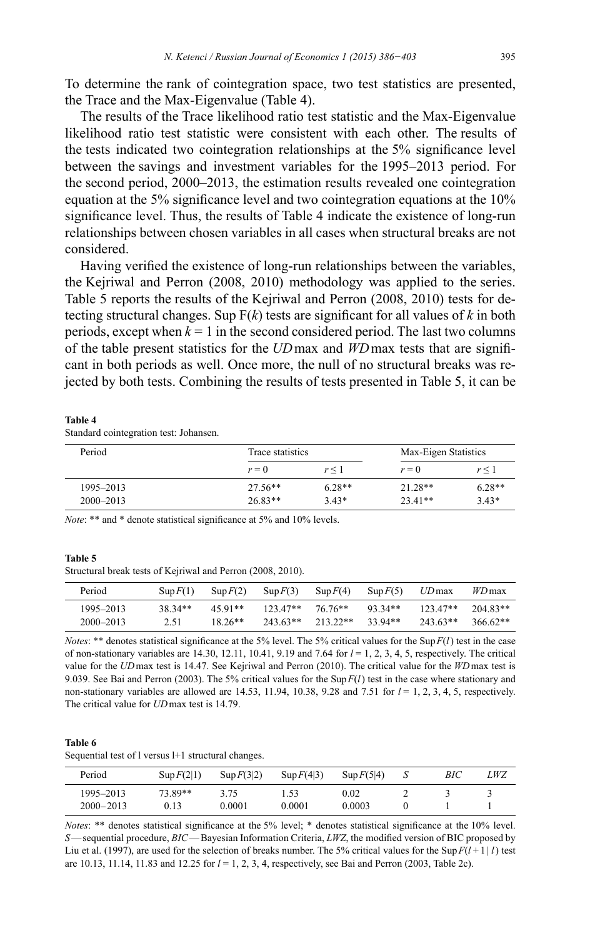To determine the rank of cointegration space, two test statistics are presented, the Trace and the Max-Eigenvalue (Table 4).

The results of the Trace likelihood ratio test statistic and the Max-Eigenvalue likelihood ratio test statistic were consistent with each other. The results of the tests indicated two cointegration relationships at the 5% significance level between the savings and investment variables for the 1995–2013 period. For the second period, 2000–2013, the estimation results revealed one cointegration equation at the 5% significance level and two cointegration equations at the  $10\%$ significance level. Thus, the results of Table 4 indicate the existence of long-run relationships between chosen variables in all cases when structural breaks are not considered.

Having verified the existence of long-run relationships between the variables, the Kejriwal and Perron (2008, 2010) methodology was applied to the series. Table 5 reports the results of the Kejriwal and Perron (2008, 2010) tests for detecting structural changes. Sup  $F(k)$  tests are significant for all values of k in both periods, except when  $k = 1$  in the second considered period. The last two columns of the table present statistics for the *UD* max and *WD* max tests that are significant in both periods as well. Once more, the null of no structural breaks was rejected by both tests. Combining the results of tests presented in Table 5, it can be

**Table 4** Standard cointegration test: Johansen.

| Period        | Trace statistics | Max-Eigen Statistics |           |          |
|---------------|------------------|----------------------|-----------|----------|
|               | $r=0$            | $r \leq 1$           | $r=0$     | r < 1    |
| 1995–2013     | $27.56**$        | $6.28**$             | 21 28**   | $6.28**$ |
| $2000 - 2013$ | $26.83**$        | $3.43*$              | $23.41**$ | $3.43*$  |

*Note*: \*\* and \* denote statistical significance at 5% and 10% levels.

#### **Table 5**

Structural break tests of Kejriwal and Perron (2008, 2010).

| Period    | $\text{Sub } F(1)$ | $\text{Sup } F(2)$ | $\text{Sup } F(3)$  | $\text{Sup } F(4)$          | $\text{Sup } F(5)$ | $UD$ max   | <i>WD</i> max |
|-----------|--------------------|--------------------|---------------------|-----------------------------|--------------------|------------|---------------|
| 1995–2013 | $38.34**$          | 4591**             | $123\,47**$ 76.76** |                             | 93 34**            | $123.47**$ | $204.83**$    |
| 2000–2013 | 2.51               | $18.26**$          |                     | $243.63**$ 213.22** 33.94** |                    | 243.63**   | 366.62**      |

*Notes*: \*\* denotes statistical significance at the 5% level. The 5% critical values for the Sup  $F(l)$  test in the case of non-stationary variables are  $14.30$ ,  $12.11$ ,  $10.41$ ,  $9.19$  and  $7.64$  for  $l = 1, 2, 3, 4, 5$ , respectively. The critical value for the *UD* max test is 14.47. See Kejriwal and Perron (2010). The critical value for the *WD* max test is 9.039. See Bai and Perron (2003). The 5% critical values for the Sup  $F(l)$  test in the case where stationary and non-stationary variables are allowed are  $14.53$ ,  $11.94$ ,  $10.38$ ,  $9.28$  and  $7.51$  for  $l = 1, 2, 3, 4, 5$ , respectively. The critical value for *UD* max test is 14.79.

#### **Table 6**

Sequential test of l versus l+1 structural changes.

| Period        | $\text{Sup } F(2 1)$ | $\text{Sup } F(3 2)$ | $\text{Sup } F(4 3)$ | $\text{Sup } F(5 4)$ | BIC | LWZ |
|---------------|----------------------|----------------------|----------------------|----------------------|-----|-----|
| 1995–2013     | 73.89**              | 3.75                 | .53                  | 0.02                 |     |     |
| $2000 - 2013$ | 0.13                 | 0.0001               | 0.0001               | 0.0003               |     |     |

*Notes*: \*\* denotes statistical significance at the 5% level: \* denotes statistical significance at the 10% level. *S*—sequential procedure, *BIC*—Bayesian Information Criteria, *LWZ*, the modified version of BIC proposed by Liu et al. (1997), are used for the selection of breaks number. The 5% critical values for the Sup  $F(l+1|l)$  test are 10.13, 11.14, 11.83 and 12.25 for  $l = 1, 2, 3, 4$ , respectively, see Bai and Perron (2003, Table 2c).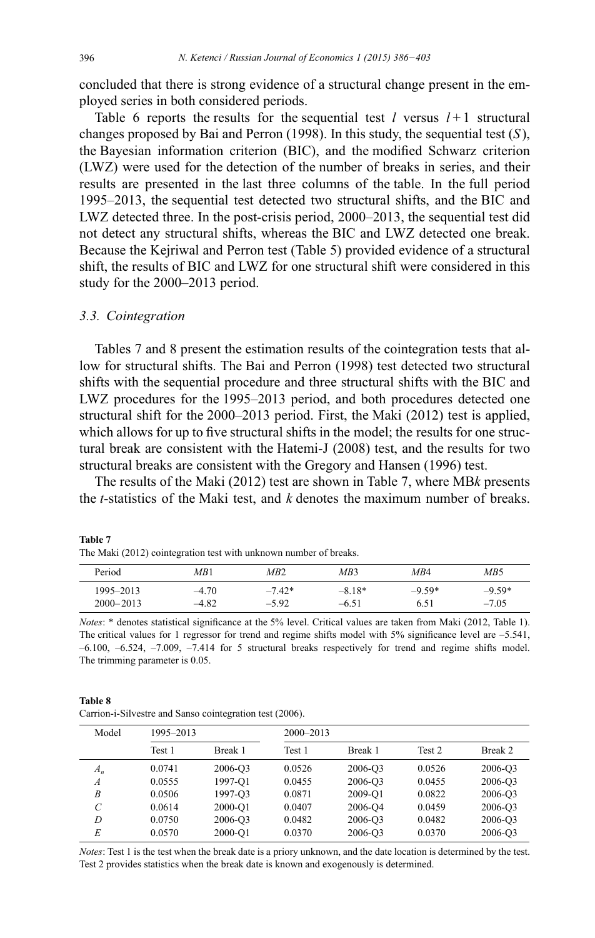concluded that there is strong evidence of a structural change present in the employed series in both considered periods.

Table 6 reports the results for the sequential test  $l$  versus  $l+1$  structural changes proposed by Bai and Perron (1998). In this study, the sequential test  $(S)$ , the Bayesian information criterion (BIC), and the modified Schwarz criterion (LWZ) were used for the detection of the number of breaks in series, and their results are presented in the last three columns of the table. In the full period 1995–2013, the sequential test detected two structural shifts, and the BIC and LWZ detected three. In the post-crisis period, 2000–2013, the sequential test did not detect any structural shifts, whereas the BIC and LWZ detected one break. Because the Kejriwal and Perron test (Table 5) provided evidence of a structural shift, the results of BIC and LWZ for one structural shift were considered in this study for the 2000–2013 period.

#### **3.3.** Cointegration

Tables 7 and 8 present the estimation results of the cointegration tests that allow for structural shifts. The Bai and Perron (1998) test detected two structural shifts with the sequential procedure and three structural shifts with the BIC and LWZ procedures for the 1995–2013 period, and both procedures detected one structural shift for the 2000–2013 period. First, the Maki (2012) test is applied, which allows for up to five structural shifts in the model; the results for one structural break are consistent with the Hatemi-J (2008) test, and the results for two structural breaks are consistent with the Gregory and Hansen (1996) test.

The results of the Maki (2012) test are shown in Table 7, where MBk presents the *t*-statistics of the Maki test, and *k* denotes the maximum number of breaks.

| The main (2012) connectation test with anthown number of oreans. |         |          |          |          |          |
|------------------------------------------------------------------|---------|----------|----------|----------|----------|
| Period                                                           | MB1     | MB2      | MB3      | MB4      | MB5      |
| 1995–2013                                                        | $-4.70$ | $-7.42*$ | $-8.18*$ | $-9.59*$ | $-9.59*$ |
| $2000 - 2013$                                                    | $-4.82$ | $-5.92$  | $-6.51$  | 6.51     | $-7.05$  |

**Table 7** The Maki (2012) cointegration test with unknown number of breaks.

*Notes*: \* denotes statistical significance at the 5% level. Critical values are taken from Maki (2012, Table 1). The critical values for 1 regressor for trend and regime shifts model with 5% significance level are  $-5.541$ , –6.100, –6.524, –7.009, –7.414 for 5 structural breaks respectively for trend and regime shifts model. The trimming parameter is 0.05.

| <b>Table 8</b>                                           |  |
|----------------------------------------------------------|--|
| Carrion-i-Silvestre and Sanso cointegration test (2006). |  |

| Model            | 1995-2013 |         |        | $2000 - 2013$       |        |         |  |  |  |
|------------------|-----------|---------|--------|---------------------|--------|---------|--|--|--|
|                  | Test 1    | Break 1 | Test 1 | Break 1             | Test 2 | Break 2 |  |  |  |
| $A_n$            | 0.0741    | 2006-Q3 | 0.0526 | 2006-Q3             | 0.0526 | 2006-Q3 |  |  |  |
| $\boldsymbol{A}$ | 0.0555    | 1997-O1 | 0.0455 | 2006-Q3             | 0.0455 | 2006-Q3 |  |  |  |
| B                | 0.0506    | 1997-O3 | 0.0871 | 2009-O1             | 0.0822 | 2006-Q3 |  |  |  |
| C                | 0.0614    | 2000-O1 | 0.0407 | 2006-O <sub>4</sub> | 0.0459 | 2006-O3 |  |  |  |
| D                | 0.0750    | 2006-Q3 | 0.0482 | 2006-Q3             | 0.0482 | 2006-Q3 |  |  |  |
| E                | 0.0570    | 2000-O1 | 0.0370 | 2006-Q3             | 0.0370 | 2006-Q3 |  |  |  |

*Notes*: Test 1 is the test when the break date is a priory unknown, and the date location is determined by the test. Test 2 provides statistics when the break date is known and exogenously is determined.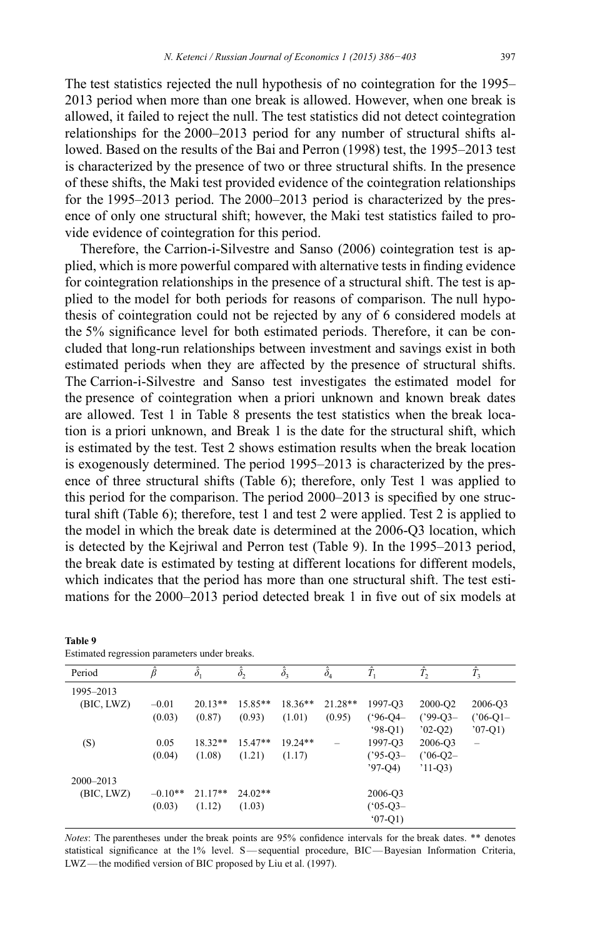The test statistics rejected the null hypothesis of no cointegration for the 1995– 2013 period when more than one break is allowed. However, when one break is allowed, it failed to reject the null. The test statistics did not detect cointegration relationships for the 2000–2013 period for any number of structural shifts allowed. Based on the results of the Bai and Perron (1998) test, the 1995-2013 test is characterized by the presence of two or three structural shifts. In the presence of these shifts, the Maki test provided evidence of the cointegration relationships for the 1995–2013 period. The 2000–2013 period is characterized by the presence of only one structural shift; however, the Maki test statistics failed to provide evidence of cointegration for this period.

Therefore, the Carrion-i-Silvestre and Sanso (2006) cointegration test is applied, which is more powerful compared with alternative tests in finding evidence for cointegration relationships in the presence of a structural shift. The test is applied to the model for both periods for reasons of comparison. The null hypothesis of cointegration could not be rejected by any of 6 considered models at the 5% significance level for both estimated periods. Therefore, it can be concluded that long-run relationships between investment and savings exist in both estimated periods when they are affected by the presence of structural shifts. The Carrion-i-Silvestre and Sanso test investigates the estimated model for the presence of cointegration when a priori unknown and known break dates are allowed. Test 1 in Table 8 presents the test statistics when the break location is a priori unknown, and Break 1 is the date for the structural shift, which is estimated by the test. Test 2 shows estimation results when the break location is exogenously determined. The period 1995–2013 is characterized by the presence of three structural shifts (Table 6); therefore, only Test 1 was applied to this period for the comparison. The period  $2000-2013$  is specified by one structural shift (Table 6); therefore, test 1 and test 2 were applied. Test 2 is applied to the model in which the break date is determined at the 2006-Q3 location, which is detected by the Kejriwal and Perron test (Table 9). In the 1995–2013 period, the break date is estimated by testing at different locations for different models, which indicates that the period has more than one structural shift. The test estimations for the 2000–2013 period detected break 1 in five out of six models at

| Estimated regression parameters under oreans. |               |                  |                  |                  |                  |               |                 |                          |
|-----------------------------------------------|---------------|------------------|------------------|------------------|------------------|---------------|-----------------|--------------------------|
| Period                                        | $\hat{\beta}$ | $\hat{\delta}_1$ | $\hat{\delta}_2$ | $\hat{\delta}_3$ | $\hat{\delta}_4$ | Î.            | $\hat{T}_2$     | $\hat{T}_3$              |
| 1995-2013                                     |               |                  |                  |                  |                  |               |                 |                          |
| (BIC, LWZ)                                    | $-0.01$       | $20.13**$        | $15.85**$        | $18.36**$        | $21.28**$        | 1997-O3       | 2000-Q2         | 2006-Q3                  |
|                                               | (0.03)        | (0.87)           | (0.93)           | (1.01)           | (0.95)           | $(^{96}-Q4-$  | $(^{99} - Q3 -$ | $(^{06}$ -Q1-            |
|                                               |               |                  |                  |                  |                  | $98-Q1$       | $02-O2$         | $07-Q1$                  |
| (S)                                           | 0.05          | $18.32**$        | $15.47**$        | $19.24**$        |                  | 1997-Q3       | 2006-Q3         | $\overline{\phantom{0}}$ |
|                                               | (0.04)        | (1.08)           | (1.21)           | (1.17)           |                  | $(^{95}$ -Q3- | $(^{06}$ -Q2-   |                          |
|                                               |               |                  |                  |                  |                  | $'97-O4$      | $'11-Q3$        |                          |
| $2000 - 2013$                                 |               |                  |                  |                  |                  |               |                 |                          |
| (BIC, LWZ)                                    | $-0.10**$     | $21.17**$        | $24.02**$        |                  |                  | 2006-Q3       |                 |                          |
|                                               | (0.03)        | (1.12)           | (1.03)           |                  |                  | $(^{6}05-Q3-$ |                 |                          |
|                                               |               |                  |                  |                  |                  | $(07-Q1)$     |                 |                          |
|                                               |               |                  |                  |                  |                  |               |                 |                          |

**Table 9** Estimated regression parameters under breaks.

*Notes*: The parentheses under the break points are 95% confidence intervals for the break dates. \*\* denotes statistical significance at the  $1\%$  level. S—sequential procedure, BIC—Bayesian Information Criteria, LWZ—the modified version of BIC proposed by Liu et al. (1997).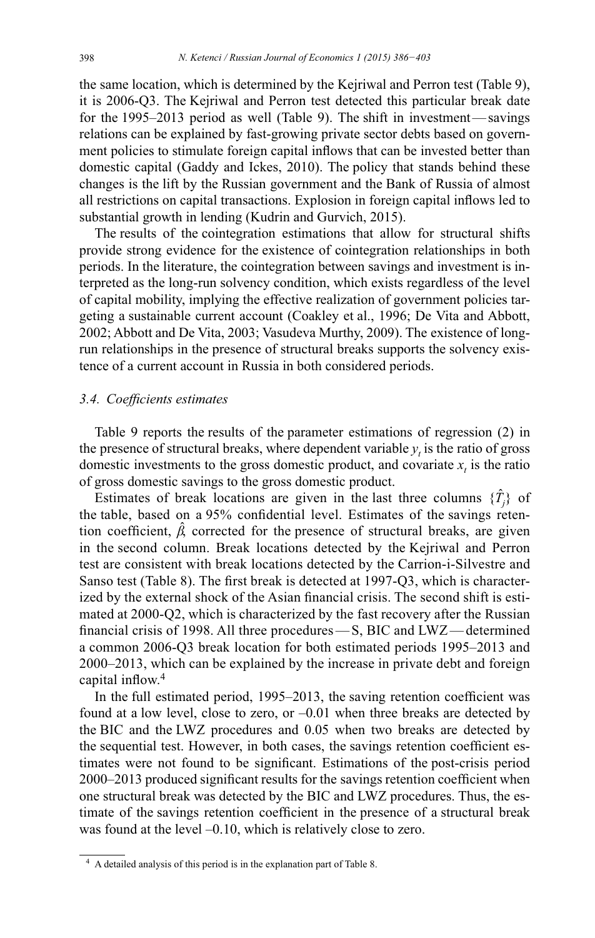the same location, which is determined by the Kejriwal and Perron test (Table 9), it is 2006-Q3. The Kejriwal and Perron test detected this particular break date for the 1995–2013 period as well (Table 9). The shift in investment—savings relations can be explained by fast-growing private sector debts based on government policies to stimulate foreign capital inflows that can be invested better than domestic capital (Gaddy and Ickes, 2010). The policy that stands behind these changes is the lift by the Russian government and the Bank of Russia of almost all restrictions on capital transactions. Explosion in foreign capital inflows led to substantial growth in lending (Kudrin and Gurvich, 2015).

The results of the cointegration estimations that allow for structural shifts provide strong evidence for the existence of cointegration relationships in both periods. In the literature, the cointegration between savings and investment is interpreted as the long-run solvency condition, which exists regardless of the level of capital mobility, implying the effective realization of government policies targeting a sustainable current account (Coakley et al., 1996; De Vita and Abbott, 2002; Abbott and De Vita, 2003; Vasudeva Murthy, 2009). The existence of longrun relationships in the presence of structural breaks supports the solvency existence of a current account in Russia in both considered periods.

#### 3.4. Coefficients estimates

Table 9 reports the results of the parameter estimations of regression (2) in the presence of structural breaks, where dependent variable  $y_t$  is the ratio of gross domestic investments to the gross domestic product, and covariate  $x<sub>t</sub>$  is the ratio of gross domestic savings to the gross domestic product. ࡪ

Estimates of break locations are given in the last three columns  ${T_j}$  of the table, based on a 95% confidential level. Estimates of the savings retention coefficient,  $\beta$ , corrected for the presence of structural breaks, are given ࡪ in the second column. Break locations detected by the Kejriwal and Perron test are consistent with break locations detected by the Carrion-i-Silvestre and Sanso test (Table 8). The first break is detected at 1997-Q3, which is characterized by the external shock of the Asian financial crisis. The second shift is estimated at 2000-Q2, which is characterized by the fast recovery after the Russian financial crisis of 1998. All three procedures  $-S$ , BIC and LWZ — determined a common 2006-Q3 break location for both estimated periods 1995–2013 and 2000–2013, which can be explained by the increase in private debt and foreign capital inflow. $4$ 

In the full estimated period, 1995–2013, the saving retention coefficient was found at a low level, close to zero, or –0.01 when three breaks are detected by the BIC and the LWZ procedures and 0.05 when two breaks are detected by the sequential test. However, in both cases, the savings retention coefficient estimates were not found to be significant. Estimations of the post-crisis period 2000-2013 produced significant results for the savings retention coefficient when one structural break was detected by the BIC and LWZ procedures. Thus, the estimate of the savings retention coefficient in the presence of a structural break was found at the level –0.10, which is relatively close to zero.

<sup>&</sup>lt;sup>4</sup> A detailed analysis of this period is in the explanation part of Table 8.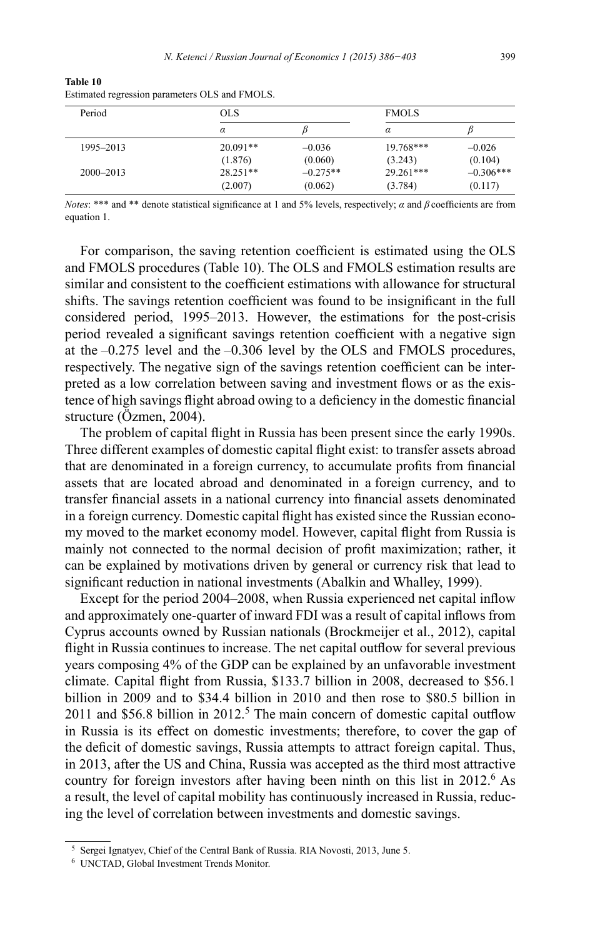| Period        | <b>OLS</b> |            | <b>FMOLS</b> |             |  |
|---------------|------------|------------|--------------|-------------|--|
|               | $\alpha$   |            | $\alpha$     |             |  |
| 1995-2013     | $20.091**$ | $-0.036$   | $19.768***$  | $-0.026$    |  |
|               | (1.876)    | (0.060)    | (3.243)      | (0.104)     |  |
| $2000 - 2013$ | $28.251**$ | $-0.275**$ | 29.261***    | $-0.306***$ |  |
|               | (2.007)    | (0.062)    | (3.784)      | (0.117)     |  |

**Table 10** Estimated regression parameters OLS and FMOLS.

*Notes*: \*\*\* and \*\* denote statistical significance at 1 and 5% levels, respectively;  $\alpha$  and  $\beta$  coefficients are from equation 1.

For comparison, the saving retention coefficient is estimated using the OLS and FMOLS procedures (Table 10). The OLS and FMOLS estimation results are similar and consistent to the coefficient estimations with allowance for structural shifts. The savings retention coefficient was found to be insignificant in the full considered period, 1995–2013. However, the estimations for the post-crisis period revealed a significant savings retention coefficient with a negative sign at the –0.275 level and the –0.306 level by the OLS and FMOLS procedures, respectively. The negative sign of the savings retention coefficient can be interpreted as a low correlation between saving and investment flows or as the existence of high savings flight abroad owing to a deficiency in the domestic financial structure (Özmen, 2004).

The problem of capital flight in Russia has been present since the early 1990s. Three different examples of domestic capital flight exist: to transfer assets abroad that are denominated in a foreign currency, to accumulate profits from financial assets that are located abroad and denominated in a foreign currency, and to transfer financial assets in a national currency into financial assets denominated in a foreign currency. Domestic capital flight has existed since the Russian economy moved to the market economy model. However, capital flight from Russia is mainly not connected to the normal decision of profit maximization; rather, it can be explained by motivations driven by general or currency risk that lead to significant reduction in national investments (Abalkin and Whalley, 1999).

Except for the period 2004–2008, when Russia experienced net capital inflow and approximately one-quarter of inward FDI was a result of capital inflows from Cyprus accounts owned by Russian nationals (Brockmeijer et al., 2012), capital flight in Russia continues to increase. The net capital outflow for several previous vears composing  $4\%$  of the GDP can be explained by an unfavorable investment climate. Capital flight from Russia, \$133.7 billion in 2008, decreased to \$56.1 billion in 2009 and to \$34.4 billion in 2010 and then rose to \$80.5 billion in 2011 and \$56.8 billion in  $2012<sup>5</sup>$ . The main concern of domestic capital outflow in Russia is its effect on domestic investments; therefore, to cover the gap of the deficit of domestic savings, Russia attempts to attract foreign capital. Thus, in 2013, after the US and China, Russia was accepted as the third most attractive country for foreign investors after having been ninth on this list in  $2012<sup>6</sup>$  As a result, the level of capital mobility has continuously increased in Russia, reducing the level of correlation between investments and domestic savings.

<sup>&</sup>lt;sup>5</sup> Sergei Ignatyev, Chief of the Central Bank of Russia. RIA Novosti, 2013, June 5.

<sup>&</sup>lt;sup>6</sup> UNCTAD, Global Investment Trends Monitor.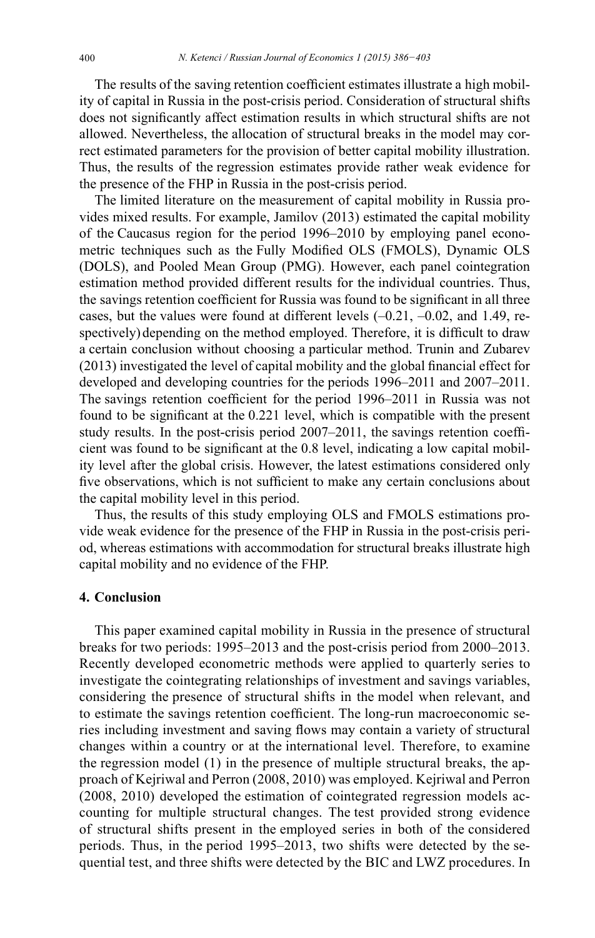The results of the saving retention coefficient estimates illustrate a high mobility of capital in Russia in the post-crisis period. Consideration of structural shifts does not significantly affect estimation results in which structural shifts are not allowed. Nevertheless, the allocation of structural breaks in the model may correct estimated parameters for the provision of better capital mobility illustration. Thus, the results of the regression estimates provide rather weak evidence for the presence of the FHP in Russia in the post-crisis period.

The limited literature on the measurement of capital mobility in Russia provides mixed results. For example, Jamilov (2013) estimated the capital mobility of the Caucasus region for the period 1996–2010 by employing panel econometric techniques such as the Fully Modified OLS (FMOLS), Dynamic OLS (DOLS), and Pooled Mean Group (PMG). However, each panel cointegration estimation method provided different results for the individual countries. Thus, the savings retention coefficient for Russia was found to be significant in all three cases, but the values were found at different levels (–0.21, –0.02, and 1.49, respectively) depending on the method employed. Therefore, it is difficult to draw a certain conclusion without choosing a particular method. Trunin and Zubarev  $(2013)$  investigated the level of capital mobility and the global financial effect for developed and developing countries for the periods 1996–2011 and 2007–2011. The savings retention coefficient for the period 1996–2011 in Russia was not found to be significant at the 0.221 level, which is compatible with the present study results. In the post-crisis period  $2007-2011$ , the savings retention coefficient was found to be significant at the 0.8 level, indicating a low capital mobility level after the global crisis. However, the latest estimations considered only five observations, which is not sufficient to make any certain conclusions about the capital mobility level in this period.

Thus, the results of this study employing OLS and FMOLS estimations provide weak evidence for the presence of the FHP in Russia in the post-crisis period, whereas estimations with accommodation for structural breaks illustrate high capital mobility and no evidence of the FHP.

## **4. Conclusion**

This paper examined capital mobility in Russia in the presence of structural breaks for two periods: 1995–2013 and the post-crisis period from 2000–2013. Recently developed econometric methods were applied to quarterly series to investigate the cointegrating relationships of investment and savings variables, considering the presence of structural shifts in the model when relevant, and to estimate the savings retention coefficient. The long-run macroeconomic series including investment and saving flows may contain a variety of structural changes within a country or at the international level. Therefore, to examine the regression model (1) in the presence of multiple structural breaks, the approach of Kejriwal and Perron (2008, 2010) was employed. Kejriwal and Perron (2008, 2010) developed the estimation of cointegrated regression models accounting for multiple structural changes. The test provided strong evidence of structural shifts present in the employed series in both of the considered periods . Thus, in the period 1995–2013, two shifts were detected by the sequential test, and three shifts were detected by the BIC and LWZ procedures. In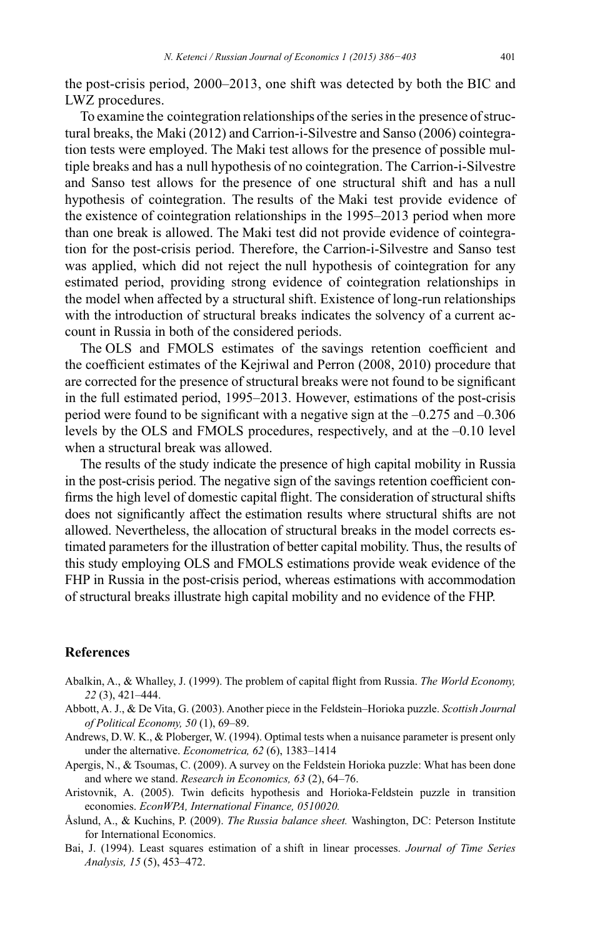the post-crisis period,  $2000-2013$ , one shift was detected by both the BIC and LWZ procedures.

To examine the cointegration relationships of the series in the presence of structural breaks, the Maki (2012) and Carrion-i-Silvestre and Sanso (2006) cointegration tests were employed. The Maki test allows for the presence of possible multiple breaks and has a null hypothesis of no cointegration. The Carrion-i-Silvestre and Sanso test allows for the presence of one structural shift and has a null hypothesis of cointegration. The results of the Maki test provide evidence of the existence of cointegration relationships in the 1995–2013 period when more than one break is allowed. The Maki test did not provide evidence of cointegration for the post-crisis period. Therefore, the Carrion-i-Silvestre and Sanso test was applied, which did not reject the null hypothesis of cointegration for any estimated period, providing strong evidence of cointegration relationships in the model when affected by a structural shift. Existence of long-run relationships with the introduction of structural breaks indicates the solvency of a current account in Russia in both of the considered periods.

The OLS and FMOLS estimates of the savings retention coefficient and the coefficient estimates of the Kejriwal and Perron (2008, 2010) procedure that are corrected for the presence of structural breaks were not found to be significant in the full estimated period, 1995–2013. However, estimations of the post-crisis period were found to be significant with a negative sign at the  $-0.275$  and  $-0.306$ levels by the OLS and FMOLS procedures, respectively, and at the –0.10 level when a structural break was allowed.

The results of the study indicate the presence of high capital mobility in Russia in the post-crisis period. The negative sign of the savings retention coefficient confirms the high level of domestic capital flight. The consideration of structural shifts does not significantly affect the estimation results where structural shifts are not allowed. Nevertheless, the allocation of structural breaks in the model corrects estimated parameters for the illustration of better capital mobility. Thus, the results of this study employing OLS and FMOLS estimations provide weak evidence of the FHP in Russia in the post-crisis period, whereas estimations with accommodation of structural breaks illustrate high capital mobility and no evidence of the FHP.

### **References**

- Abalkin, A., & Whalley, J. (1999). The problem of capital flight from Russia. The World Economy, (3), 421–444.
- Abbott, A. J., & De Vita, G. (2003). Another piece in the Feldstein–Horioka puzzle. Scottish Journal *RI3ROLWLFDO(FRQRP\* (1), 69–89.
- Andrews, D. W. K., & Ploberger, W. (1994). Optimal tests when a nuisance parameter is present only under the alternative. *Econometrica*, 62(6), 1383–1414
- Apergis, N., & Tsoumas, C. (2009). A survey on the Feldstein Horioka puzzle: What has been done and where we stand. *Research in Economics*, 63 (2), 64–76.
- Aristovnik, A. (2005). Twin deficits hypothesis and Horioka-Feldstein puzzle in transition economies. *EconWPA*, International Finance, 0510020.
- Åslund, A., & Kuchins, P. (2009). *The Russia balance sheet*. Washington, DC: Peterson Institute for International Economics.
- Bai, J. (1994). Least squares estimation of a shift in linear processes. Journal of Time Series *Analysis, 15* (5), 453–472.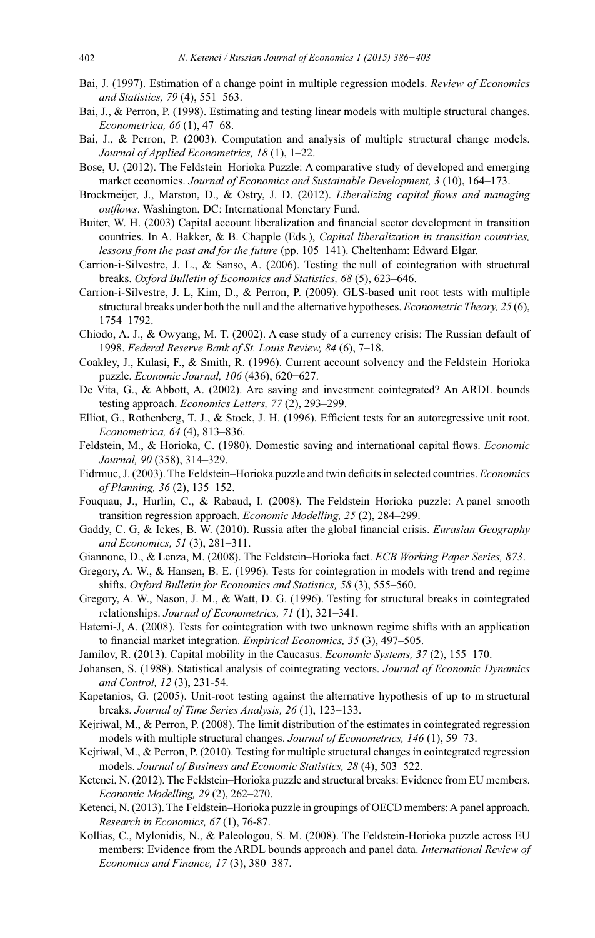- Bai, J. (1997). Estimation of a change point in multiple regression models. Review of Economics and Statistics, 79 (4), 551-563.
- Bai, J., & Perron, P. (1998). Estimating and testing linear models with multiple structural changes. Econometrica, 66 (1), 47-68.
- Bai, J., & Perron, P. (2003). Computation and analysis of multiple structural change models. Journal of Applied Econometrics, 18 (1), 1-22.
- Bose, U. (2012). The Feldstein–Horioka Puzzle: A comparative study of developed and emerging market economies. Journal of Economics and Sustainable Development, 3 (10), 164–173.
- Brockmeijer, J., Marston, D., & Ostry, J. D. (2012). Liberalizing capital flows and managing outflows. Washington, DC: International Monetary Fund.
- Buiter, W. H. (2003) Capital account liberalization and financial sector development in transition countries. In A. Bakker, & B. Chapple (Eds.), *Capital liberalization in transition countries*, lessons from the past and for the future (pp. 105-141). Cheltenham: Edward Elgar.
- Carrion-i-Silvestre, J. L., & Sanso, A. (2006). Testing the null of cointegration with structural breaks. Oxford Bulletin of Economics and Statistics, 68 (5), 623–646.
- Carrion-i-Silvestre, J. L, Kim, D., & Perron, P. (2009). GLS-based unit root tests with multiple structural breaks under both the null and the alternative hypotheses. *Econometric Theory*, 25(6), 1754-1792.
- Chiodo, A. J., & Owyang, M. T. (2002). A case study of a currency crisis: The Russian default of 1998. Federal Reserve Bank of St. Louis Review, 84 (6), 7-18.
- Coakley, J., Kulasi, F., & Smith, R. (1996). Current account solvency and the Feldstein–Horioka puzzle. Economic Journal, 106 (436), 620-627.
- De Vita, G., & Abbott, A. (2002). Are saving and investment cointegrated? An ARDL bounds testing approach. Economics Letters, 77 (2), 293-299.
- Elliot, G., Rothenberg, T. J., & Stock, J. H. (1996). Efficient tests for an autoregressive unit root. Econometrica, 64 (4), 813-836.
- Feldstein, M., & Horioka, C. (1980). Domestic saving and international capital flows. Economic Journal, 90 (358), 314-329.
- Fidrmuc, J. (2003). The Feldstein–Horioka puzzle and twin deficits in selected countries. *Economics* of Planning, 36 (2), 135–152.
- Fouquau, J., Hurlin, C., & Rabaud, I. (2008). The Feldstein-Horioka puzzle: A panel smooth transition regression approach. *Economic Modelling*, 25 (2), 284–299.
- Gaddy, C. G, & Ickes, B. W. (2010). Russia after the global financial crisis. Eurasian Geography and Economics, 51 (3), 281-311.
- Giannone, D., & Lenza, M. (2008). The Feldstein-Horioka fact. ECB Working Paper Series, 873.
- Gregory, A. W., & Hansen, B. E. (1996). Tests for cointegration in models with trend and regime shifts. Oxford Bulletin for Economics and Statistics, 58 (3), 555-560.
- Gregory, A. W., Nason, J. M., & Watt, D. G. (1996). Testing for structural breaks in cointegrated relationships. Journal of Econometrics, 71 (1), 321-341.
- Hatemi-J, A. (2008). Tests for cointegration with two unknown regime shifts with an application to financial market integration. Empirical Economics, 35 (3), 497-505.
- Jamilov, R. (2013). Capital mobility in the Caucasus. *Economic Systems*, 37(2), 155–170.
- Johansen, S. (1988). Statistical analysis of cointegrating vectors. Journal of Economic Dynamics and Control, 12 (3), 231-54.
- Kapetanios, G. (2005). Unit-root testing against the alternative hypothesis of up to m structural breaks. Journal of Time Series Analysis, 26 (1), 123-133.
- Kejriwal, M., & Perron, P.  $(2008)$ . The limit distribution of the estimates in cointegrated regression models with multiple structural changes. Journal of Econometrics, 146 (1), 59–73.
- Kejriwal, M., & Perron, P. (2010). Testing for multiple structural changes in cointegrated regression models. Journal of Business and Economic Statistics, 28 (4), 503-522.
- Ketenci, N. (2012). The Feldstein-Horioka puzzle and structural breaks: Evidence from EU members. Economic Modelling, 29 (2), 262-270.
- Ketenci, N. (2013). The Feldstein–Horioka puzzle in groupings of OECD members: A panel approach. Research in Economics, 67(1), 76-87.
- Kollias, C., Mylonidis, N., & Paleologou, S. M. (2008). The Feldstein-Horioka puzzle across EU members: Evidence from the ARDL bounds approach and panel data. International Review of Economics and Finance, 17(3), 380-387.